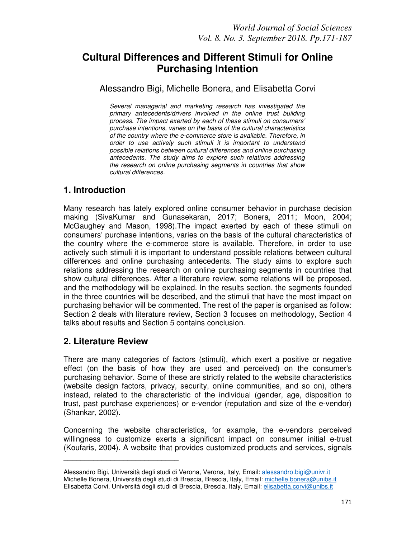# **Cultural Differences and Different Stimuli for Online Purchasing Intention**

### Alessandro Bigi, Michelle Bonera, and Elisabetta Corvi

*Several managerial and marketing research has investigated the primary antecedents/drivers involved in the online trust building process. The impact exerted by each of these stimuli on consumers' purchase intentions, varies on the basis of the cultural characteristics of the country where the e-commerce store is available. Therefore, in order to use actively such stimuli it is important to understand possible relations between cultural differences and online purchasing antecedents. The study aims to explore such relations addressing the research on online purchasing segments in countries that show cultural differences.* 

## **1. Introduction**

Many research has lately explored online consumer behavior in purchase decision making (SivaKumar and Gunasekaran, 2017; Bonera, 2011; Moon, 2004; McGaughey and Mason, 1998).The impact exerted by each of these stimuli on consumers' purchase intentions, varies on the basis of the cultural characteristics of the country where the e-commerce store is available. Therefore, in order to use actively such stimuli it is important to understand possible relations between cultural differences and online purchasing antecedents. The study aims to explore such relations addressing the research on online purchasing segments in countries that show cultural differences. After a literature review, some relations will be proposed, and the methodology will be explained. In the results section, the segments founded in the three countries will be described, and the stimuli that have the most impact on purchasing behavior will be commented. The rest of the paper is organised as follow: Section 2 deals with literature review, Section 3 focuses on methodology, Section 4 talks about results and Section 5 contains conclusion.

## **2. Literature Review**

\_\_\_\_\_\_\_\_\_\_\_\_\_\_\_\_\_\_\_\_\_\_\_\_\_\_\_

There are many categories of factors (stimuli), which exert a positive or negative effect (on the basis of how they are used and perceived) on the consumer's purchasing behavior. Some of these are strictly related to the website characteristics (website design factors, privacy, security, online communities, and so on), others instead, related to the characteristic of the individual (gender, age, disposition to trust, past purchase experiences) or e-vendor (reputation and size of the e-vendor) (Shankar, 2002).

Concerning the website characteristics, for example, the e-vendors perceived willingness to customize exerts a significant impact on consumer initial e-trust (Koufaris, 2004). A website that provides customized products and services, signals

Alessandro Bigi, Università degli studi di Verona, Verona, Italy, Email: alessandro.bigi@univr.it Michelle Bonera, Università degli studi di Brescia, Brescia, Italy, Email: michelle.bonera@unibs.it Elisabetta Corvi, Università degli studi di Brescia, Brescia, Italy, Email: elisabetta.corvi@unibs.it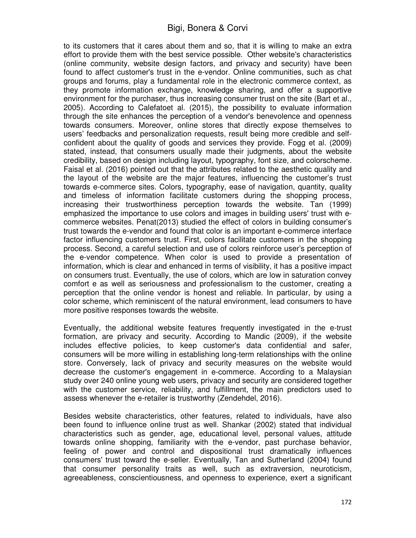to its customers that it cares about them and so, that it is willing to make an extra effort to provide them with the best service possible. Other website's characteristics (online community, website design factors, and privacy and security) have been found to affect customer's trust in the e-vendor. Online communities, such as chat groups and forums, play a fundamental role in the electronic commerce context, as they promote information exchange, knowledge sharing, and offer a supportive environment for the purchaser, thus increasing consumer trust on the site (Bart et al., 2005). According to Calefatoet al. (2015), the possibility to evaluate information through the site enhances the perception of a vendor's benevolence and openness towards consumers. Moreover, online stores that directly expose themselves to users' feedbacks and personalization requests, result being more credible and selfconfident about the quality of goods and services they provide. Fogg et al. (2009) stated, instead, that consumers usually made their judgments, about the website credibility, based on design including layout, typography, font size, and colorscheme. Faisal et al. (2016) pointed out that the attributes related to the aesthetic quality and the layout of the website are the major features, influencing the customer's trust towards e-commerce sites. Colors, typography, ease of navigation, quantity, quality and timeless of information facilitate customers during the shopping process, increasing their trustworthiness perception towards the website. Tan (1999) emphasized the importance to use colors and images in building users' trust with ecommerce websites. Penat(2013) studied the effect of colors in building consumer's trust towards the e-vendor and found that color is an important e-commerce interface factor influencing customers trust. First, colors facilitate customers in the shopping process. Second, a careful selection and use of colors reinforce user's perception of the e-vendor competence. When color is used to provide a presentation of information, which is clear and enhanced in terms of visibility, it has a positive impact on consumers trust. Eventually, the use of colors, which are low in saturation convey comfort e as well as seriousness and professionalism to the customer, creating a perception that the online vendor is honest and reliable. In particular, by using a color scheme, which reminiscent of the natural environment, lead consumers to have more positive responses towards the website.

Eventually, the additional website features frequently investigated in the e-trust formation, are privacy and security. According to Mandic (2009), if the website includes effective policies, to keep customer's data confidential and safer, consumers will be more willing in establishing long-term relationships with the online store. Conversely, lack of privacy and security measures on the website would decrease the customer's engagement in e-commerce. According to a Malaysian study over 240 online young web users, privacy and security are considered together with the customer service, reliability, and fulfillment, the main predictors used to assess whenever the e-retailer is trustworthy (Zendehdel, 2016).

Besides website characteristics, other features, related to individuals, have also been found to influence online trust as well. Shankar (2002) stated that individual characteristics such as gender, age, educational level, personal values, attitude towards online shopping, familiarity with the e-vendor, past purchase behavior, feeling of power and control and dispositional trust dramatically influences consumers' trust toward the e-seller. Eventually, Tan and Sutherland (2004) found that consumer personality traits as well, such as extraversion, neuroticism, agreeableness, conscientiousness, and openness to experience, exert a significant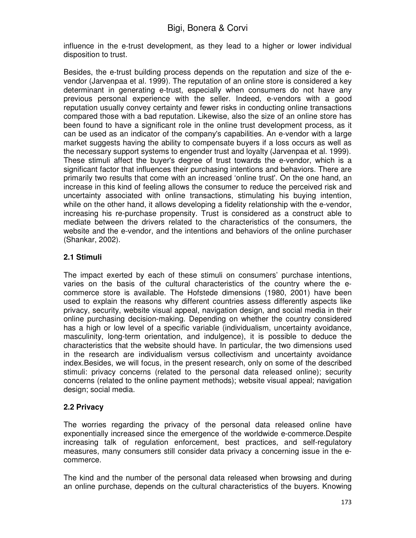influence in the e-trust development, as they lead to a higher or lower individual disposition to trust.

Besides, the e-trust building process depends on the reputation and size of the evendor (Jarvenpaa et al. 1999). The reputation of an online store is considered a key determinant in generating e-trust, especially when consumers do not have any previous personal experience with the seller. Indeed, e-vendors with a good reputation usually convey certainty and fewer risks in conducting online transactions compared those with a bad reputation. Likewise, also the size of an online store has been found to have a significant role in the online trust development process, as it can be used as an indicator of the company's capabilities. An e-vendor with a large market suggests having the ability to compensate buyers if a loss occurs as well as the necessary support systems to engender trust and loyalty (Jarvenpaa et al. 1999). These stimuli affect the buyer's degree of trust towards the e-vendor, which is a significant factor that influences their purchasing intentions and behaviors. There are primarily two results that come with an increased 'online trust'. On the one hand, an increase in this kind of feeling allows the consumer to reduce the perceived risk and uncertainty associated with online transactions, stimulating his buying intention, while on the other hand, it allows developing a fidelity relationship with the e-vendor, increasing his re-purchase propensity. Trust is considered as a construct able to mediate between the drivers related to the characteristics of the consumers, the website and the e-vendor, and the intentions and behaviors of the online purchaser (Shankar, 2002).

### **2.1 Stimuli**

The impact exerted by each of these stimuli on consumers' purchase intentions, varies on the basis of the cultural characteristics of the country where the ecommerce store is available. The Hofstede dimensions (1980, 2001) have been used to explain the reasons why different countries assess differently aspects like privacy, security, website visual appeal, navigation design, and social media in their online purchasing decision-making. Depending on whether the country considered has a high or low level of a specific variable (individualism, uncertainty avoidance, masculinity, long-term orientation, and indulgence), it is possible to deduce the characteristics that the website should have. In particular, the two dimensions used in the research are individualism versus collectivism and uncertainty avoidance index.Besides, we will focus, in the present research, only on some of the described stimuli: privacy concerns (related to the personal data released online); security concerns (related to the online payment methods); website visual appeal; navigation design; social media.

### **2.2 Privacy**

The worries regarding the privacy of the personal data released online have exponentially increased since the emergence of the worldwide e-commerce.Despite increasing talk of regulation enforcement, best practices, and self-regulatory measures, many consumers still consider data privacy a concerning issue in the ecommerce.

The kind and the number of the personal data released when browsing and during an online purchase, depends on the cultural characteristics of the buyers. Knowing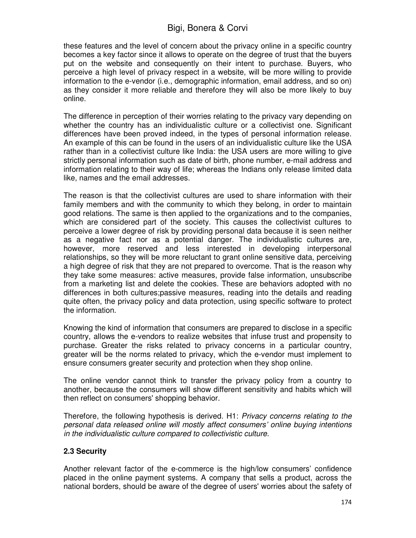these features and the level of concern about the privacy online in a specific country becomes a key factor since it allows to operate on the degree of trust that the buyers put on the website and consequently on their intent to purchase. Buyers, who perceive a high level of privacy respect in a website, will be more willing to provide information to the e-vendor (i.e., demographic information, email address, and so on) as they consider it more reliable and therefore they will also be more likely to buy online.

The difference in perception of their worries relating to the privacy vary depending on whether the country has an individualistic culture or a collectivist one. Significant differences have been proved indeed, in the types of personal information release. An example of this can be found in the users of an individualistic culture like the USA rather than in a collectivist culture like India: the USA users are more willing to give strictly personal information such as date of birth, phone number, e-mail address and information relating to their way of life; whereas the Indians only release limited data like, names and the email addresses.

The reason is that the collectivist cultures are used to share information with their family members and with the community to which they belong, in order to maintain good relations. The same is then applied to the organizations and to the companies, which are considered part of the society. This causes the collectivist cultures to perceive a lower degree of risk by providing personal data because it is seen neither as a negative fact nor as a potential danger. The individualistic cultures are, however, more reserved and less interested in developing interpersonal relationships, so they will be more reluctant to grant online sensitive data, perceiving a high degree of risk that they are not prepared to overcome. That is the reason why they take some measures: active measures, provide false information, unsubscribe from a marketing list and delete the cookies. These are behaviors adopted with no differences in both cultures;passive measures, reading into the details and reading quite often, the privacy policy and data protection, using specific software to protect the information.

Knowing the kind of information that consumers are prepared to disclose in a specific country, allows the e-vendors to realize websites that infuse trust and propensity to purchase. Greater the risks related to privacy concerns in a particular country, greater will be the norms related to privacy, which the e-vendor must implement to ensure consumers greater security and protection when they shop online.

The online vendor cannot think to transfer the privacy policy from a country to another, because the consumers will show different sensitivity and habits which will then reflect on consumers' shopping behavior.

Therefore, the following hypothesis is derived. H1: *Privacy concerns relating to the personal data released online will mostly affect consumers' online buying intentions in the individualistic culture compared to collectivistic culture.*

#### **2.3 Security**

Another relevant factor of the e-commerce is the high/low consumers' confidence placed in the online payment systems. A company that sells a product, across the national borders, should be aware of the degree of users' worries about the safety of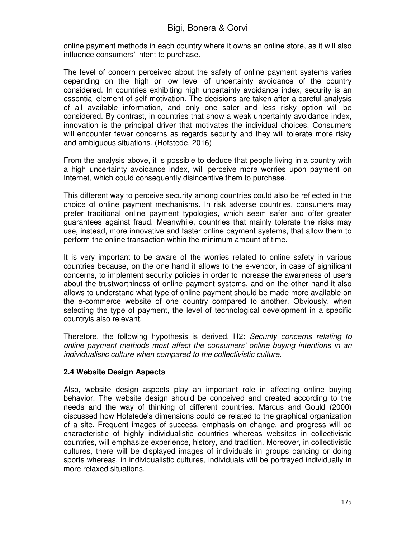online payment methods in each country where it owns an online store, as it will also influence consumers' intent to purchase.

The level of concern perceived about the safety of online payment systems varies depending on the high or low level of uncertainty avoidance of the country considered. In countries exhibiting high uncertainty avoidance index, security is an essential element of self-motivation. The decisions are taken after a careful analysis of all available information, and only one safer and less risky option will be considered. By contrast, in countries that show a weak uncertainty avoidance index, innovation is the principal driver that motivates the individual choices. Consumers will encounter fewer concerns as regards security and they will tolerate more risky and ambiguous situations. (Hofstede, 2016)

From the analysis above, it is possible to deduce that people living in a country with a high uncertainty avoidance index, will perceive more worries upon payment on Internet, which could consequently disincentive them to purchase.

This different way to perceive security among countries could also be reflected in the choice of online payment mechanisms. In risk adverse countries, consumers may prefer traditional online payment typologies, which seem safer and offer greater guarantees against fraud. Meanwhile, countries that mainly tolerate the risks may use, instead, more innovative and faster online payment systems, that allow them to perform the online transaction within the minimum amount of time.

It is very important to be aware of the worries related to online safety in various countries because, on the one hand it allows to the e-vendor, in case of significant concerns, to implement security policies in order to increase the awareness of users about the trustworthiness of online payment systems, and on the other hand it also allows to understand what type of online payment should be made more available on the e-commerce website of one country compared to another. Obviously, when selecting the type of payment, the level of technological development in a specific countryis also relevant.

Therefore, the following hypothesis is derived. H2: *Security concerns relating to online payment methods most affect the consumers' online buying intentions in an individualistic culture when compared to the collectivistic culture.* 

### **2.4 Website Design Aspects**

Also, website design aspects play an important role in affecting online buying behavior. The website design should be conceived and created according to the needs and the way of thinking of different countries. Marcus and Gould (2000) discussed how Hofstede's dimensions could be related to the graphical organization of a site. Frequent images of success, emphasis on change, and progress will be characteristic of highly individualistic countries whereas websites in collectivistic countries, will emphasize experience, history, and tradition. Moreover, in collectivistic cultures, there will be displayed images of individuals in groups dancing or doing sports whereas, in individualistic cultures, individuals will be portrayed individually in more relaxed situations.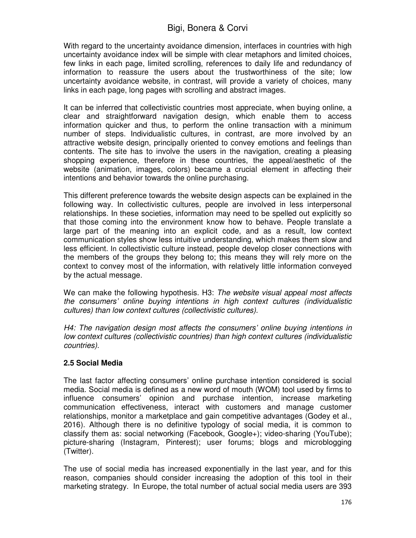With regard to the uncertainty avoidance dimension, interfaces in countries with high uncertainty avoidance index will be simple with clear metaphors and limited choices, few links in each page, limited scrolling, references to daily life and redundancy of information to reassure the users about the trustworthiness of the site; low uncertainty avoidance website, in contrast, will provide a variety of choices, many links in each page, long pages with scrolling and abstract images.

It can be inferred that collectivistic countries most appreciate, when buying online, a clear and straightforward navigation design, which enable them to access information quicker and thus, to perform the online transaction with a minimum number of steps. Individualistic cultures, in contrast, are more involved by an attractive website design, principally oriented to convey emotions and feelings than contents. The site has to involve the users in the navigation, creating a pleasing shopping experience, therefore in these countries, the appeal/aesthetic of the website (animation, images, colors) became a crucial element in affecting their intentions and behavior towards the online purchasing.

This different preference towards the website design aspects can be explained in the following way. In collectivistic cultures, people are involved in less interpersonal relationships. In these societies, information may need to be spelled out explicitly so that those coming into the environment know how to behave. People translate a large part of the meaning into an explicit code, and as a result, low context communication styles show less intuitive understanding, which makes them slow and less efficient. In collectivistic culture instead, people develop closer connections with the members of the groups they belong to; this means they will rely more on the context to convey most of the information, with relatively little information conveyed by the actual message.

We can make the following hypothesis. H3: *The website visual appeal most affects the consumers' online buying intentions in high context cultures (individualistic cultures) than low context cultures (collectivistic cultures).* 

*H4: The navigation design most affects the consumers' online buying intentions in low context cultures (collectivistic countries) than high context cultures (individualistic countries).* 

### **2.5 Social Media**

The last factor affecting consumers' online purchase intention considered is social media. Social media is defined as a new word of mouth (WOM) tool used by firms to influence consumers' opinion and purchase intention, increase marketing communication effectiveness, interact with customers and manage customer relationships, monitor a marketplace and gain competitive advantages (Godey et al., 2016). Although there is no definitive typology of social media, it is common to classify them as: social networking (Facebook, Google+); video-sharing (YouTube); picture-sharing (Instagram, Pinterest); user forums; blogs and microblogging (Twitter).

The use of social media has increased exponentially in the last year, and for this reason, companies should consider increasing the adoption of this tool in their marketing strategy. In Europe, the total number of actual social media users are 393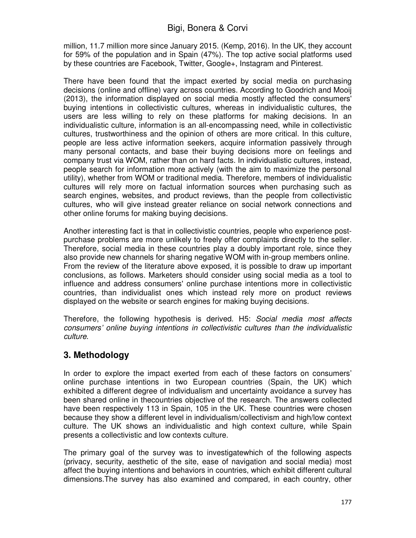million, 11.7 million more since January 2015. (Kemp, 2016). In the UK, they account for 59% of the population and in Spain (47%). The top active social platforms used by these countries are Facebook, Twitter, Google+, Instagram and Pinterest.

There have been found that the impact exerted by social media on purchasing decisions (online and offline) vary across countries. According to Goodrich and Mooij (2013), the information displayed on social media mostly affected the consumers' buying intentions in collectivistic cultures, whereas in individualistic cultures, the users are less willing to rely on these platforms for making decisions. In an individualistic culture, information is an all-encompassing need, while in collectivistic cultures, trustworthiness and the opinion of others are more critical. In this culture, people are less active information seekers, acquire information passively through many personal contacts, and base their buying decisions more on feelings and company trust via WOM, rather than on hard facts. In individualistic cultures, instead, people search for information more actively (with the aim to maximize the personal utility), whether from WOM or traditional media. Therefore, members of individualistic cultures will rely more on factual information sources when purchasing such as search engines, websites, and product reviews, than the people from collectivistic cultures, who will give instead greater reliance on social network connections and other online forums for making buying decisions.

Another interesting fact is that in collectivistic countries, people who experience postpurchase problems are more unlikely to freely offer complaints directly to the seller. Therefore, social media in these countries play a doubly important role, since they also provide new channels for sharing negative WOM with in-group members online. From the review of the literature above exposed, it is possible to draw up important conclusions, as follows. Marketers should consider using social media as a tool to influence and address consumers' online purchase intentions more in collectivistic countries, than individualist ones which instead rely more on product reviews displayed on the website or search engines for making buying decisions.

Therefore, the following hypothesis is derived. H5: *Social media most affects consumers' online buying intentions in collectivistic cultures than the individualistic culture*.

## **3. Methodology**

In order to explore the impact exerted from each of these factors on consumers' online purchase intentions in two European countries (Spain, the UK) which exhibited a different degree of individualism and uncertainty avoidance a survey has been shared online in thecountries objective of the research. The answers collected have been respectively 113 in Spain, 105 in the UK. These countries were chosen because they show a different level in individualism/collectivism and high/low context culture. The UK shows an individualistic and high context culture, while Spain presents a collectivistic and low contexts culture.

The primary goal of the survey was to investigatewhich of the following aspects (privacy, security, aesthetic of the site, ease of navigation and social media) most affect the buying intentions and behaviors in countries, which exhibit different cultural dimensions.The survey has also examined and compared, in each country, other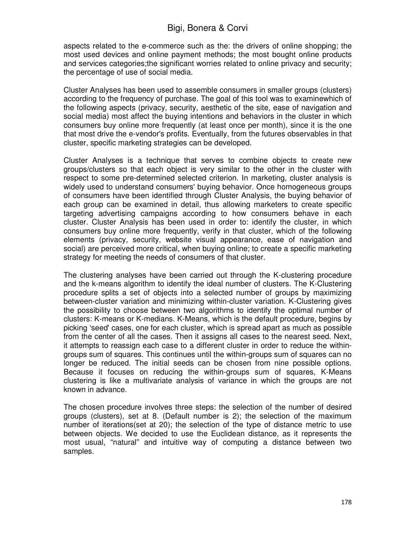aspects related to the e-commerce such as the: the drivers of online shopping; the most used devices and online payment methods; the most bought online products and services categories;the significant worries related to online privacy and security; the percentage of use of social media.

Cluster Analyses has been used to assemble consumers in smaller groups (clusters) according to the frequency of purchase. The goal of this tool was to examinewhich of the following aspects (privacy, security, aesthetic of the site, ease of navigation and social media) most affect the buying intentions and behaviors in the cluster in which consumers buy online more frequently (at least once per month), since it is the one that most drive the e-vendor's profits. Eventually, from the futures observables in that cluster, specific marketing strategies can be developed.

Cluster Analyses is a technique that serves to combine objects to create new groups/clusters so that each object is very similar to the other in the cluster with respect to some pre-determined selected criterion. In marketing, cluster analysis is widely used to understand consumers' buying behavior. Once homogeneous groups of consumers have been identified through Cluster Analysis, the buying behavior of each group can be examined in detail, thus allowing marketers to create specific targeting advertising campaigns according to how consumers behave in each cluster. Cluster Analysis has been used in order to: identify the cluster, in which consumers buy online more frequently, verify in that cluster, which of the following elements (privacy, security, website visual appearance, ease of navigation and social) are perceived more critical, when buying online; to create a specific marketing strategy for meeting the needs of consumers of that cluster.

The clustering analyses have been carried out through the K-clustering procedure and the k-means algorithm to identify the ideal number of clusters. The K-Clustering procedure splits a set of objects into a selected number of groups by maximizing between-cluster variation and minimizing within-cluster variation. K-Clustering gives the possibility to choose between two algorithms to identify the optimal number of clusters: K-means or K-medians. K-Means, which is the default procedure, begins by picking 'seed' cases, one for each cluster, which is spread apart as much as possible from the center of all the cases. Then it assigns all cases to the nearest seed. Next, it attempts to reassign each case to a different cluster in order to reduce the withingroups sum of squares. This continues until the within-groups sum of squares can no longer be reduced. The initial seeds can be chosen from nine possible options. Because it focuses on reducing the within-groups sum of squares, K-Means clustering is like a multivariate analysis of variance in which the groups are not known in advance.

The chosen procedure involves three steps: the selection of the number of desired groups (clusters), set at 8. (Default number is 2); the selection of the maximum number of iterations(set at 20); the selection of the type of distance metric to use between objects. We decided to use the Euclidean distance, as it represents the most usual, "natural" and intuitive way of computing a distance between two samples.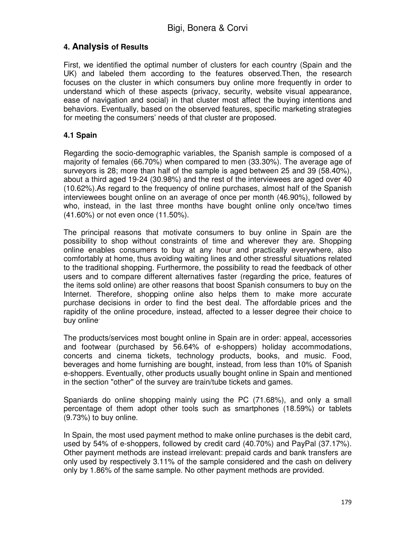## **4. Analysis of Results**

First, we identified the optimal number of clusters for each country (Spain and the UK) and labeled them according to the features observed.Then, the research focuses on the cluster in which consumers buy online more frequently in order to understand which of these aspects (privacy, security, website visual appearance, ease of navigation and social) in that cluster most affect the buying intentions and behaviors. Eventually, based on the observed features, specific marketing strategies for meeting the consumers' needs of that cluster are proposed.

#### **4.1 Spain**

Regarding the socio-demographic variables, the Spanish sample is composed of a majority of females (66.70%) when compared to men (33.30%). The average age of surveyors is 28; more than half of the sample is aged between 25 and 39 (58.40%), about a third aged 19-24 (30.98%) and the rest of the interviewees are aged over 40 (10.62%).As regard to the frequency of online purchases, almost half of the Spanish interviewees bought online on an average of once per month (46.90%), followed by who, instead, in the last three months have bought online only once/two times (41.60%) or not even once (11.50%).

The principal reasons that motivate consumers to buy online in Spain are the possibility to shop without constraints of time and wherever they are. Shopping online enables consumers to buy at any hour and practically everywhere, also comfortably at home, thus avoiding waiting lines and other stressful situations related to the traditional shopping. Furthermore, the possibility to read the feedback of other users and to compare different alternatives faster (regarding the price, features of the items sold online) are other reasons that boost Spanish consumers to buy on the Internet. Therefore, shopping online also helps them to make more accurate purchase decisions in order to find the best deal. The affordable prices and the rapidity of the online procedure, instead, affected to a lesser degree their choice to buy online.

The products/services most bought online in Spain are in order: appeal, accessories and footwear (purchased by 56.64% of e-shoppers) holiday accommodations, concerts and cinema tickets, technology products, books, and music. Food, beverages and home furnishing are bought, instead, from less than 10% of Spanish e-shoppers. Eventually, other products usually bought online in Spain and mentioned in the section "other" of the survey are train/tube tickets and games.

Spaniards do online shopping mainly using the PC (71.68%), and only a small percentage of them adopt other tools such as smartphones (18.59%) or tablets (9.73%) to buy online.

In Spain, the most used payment method to make online purchases is the debit card, used by 54% of e-shoppers, followed by credit card (40.70%) and PayPal (37.17%). Other payment methods are instead irrelevant: prepaid cards and bank transfers are only used by respectively 3.11% of the sample considered and the cash on delivery only by 1.86% of the same sample. No other payment methods are provided.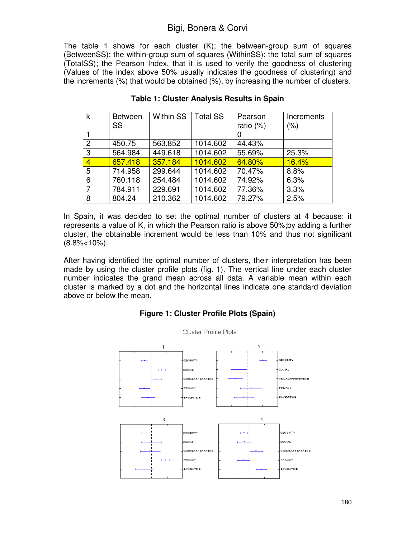The table 1 shows for each cluster (K); the between-group sum of squares (BetweenSS); the within-group sum of squares (WithinSS); the total sum of squares (TotalSS); the Pearson Index, that it is used to verify the goodness of clustering (Values of the index above 50% usually indicates the goodness of clustering) and the increments (%) that would be obtained (%), by increasing the number of clusters.

| k              | <b>Between</b> | <b>Within SS</b> | <b>Total SS</b> | Pearson   | Increments |
|----------------|----------------|------------------|-----------------|-----------|------------|
|                | SS             |                  |                 | ratio (%) | (%)        |
|                |                |                  |                 |           |            |
| $\overline{2}$ | 450.75         | 563.852          | 1014.602        | 44.43%    |            |
| 3              | 564.984        | 449.618          | 1014.602        | 55.69%    | 25.3%      |
| $\overline{4}$ | 657.418        | 357.184          | 1014.602        | 64.80%    | 16.4%      |
| 5              | 714.958        | 299.644          | 1014.602        | 70.47%    | 8.8%       |
| 6              | 760.118        | 254.484          | 1014.602        | 74.92%    | 6.3%       |
| 7              | 784.911        | 229.691          | 1014.602        | 77.36%    | 3.3%       |
| 8              | 804.24         | 210.362          | 1014.602        | 79.27%    | 2.5%       |

#### **Table 1: Cluster Analysis Results in Spain**

In Spain, it was decided to set the optimal number of clusters at 4 because: it represents a value of K, in which the Pearson ratio is above 50%;by adding a further cluster, the obtainable increment would be less than 10% and thus not significant (8.8%<10%).

After having identified the optimal number of clusters, their interpretation has been made by using the cluster profile plots (fig. 1). The vertical line under each cluster number indicates the grand mean across all data. A variable mean within each cluster is marked by a dot and the horizontal lines indicate one standard deviation above or below the mean.

#### **Figure 1: Cluster Profile Plots (Spain)**

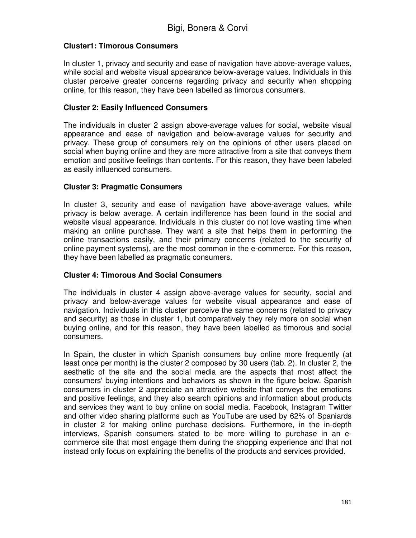### **Cluster1: Timorous Consumers**

In cluster 1, privacy and security and ease of navigation have above-average values, while social and website visual appearance below-average values. Individuals in this cluster perceive greater concerns regarding privacy and security when shopping online, for this reason, they have been labelled as timorous consumers.

### **Cluster 2: Easily Influenced Consumers**

The individuals in cluster 2 assign above-average values for social, website visual appearance and ease of navigation and below-average values for security and privacy. These group of consumers rely on the opinions of other users placed on social when buying online and they are more attractive from a site that conveys them emotion and positive feelings than contents. For this reason, they have been labeled as easily influenced consumers.

### **Cluster 3: Pragmatic Consumers**

In cluster 3, security and ease of navigation have above-average values, while privacy is below average. A certain indifference has been found in the social and website visual appearance. Individuals in this cluster do not love wasting time when making an online purchase. They want a site that helps them in performing the online transactions easily, and their primary concerns (related to the security of online payment systems), are the most common in the e-commerce. For this reason, they have been labelled as pragmatic consumers.

### **Cluster 4: Timorous And Social Consumers**

The individuals in cluster 4 assign above-average values for security, social and privacy and below-average values for website visual appearance and ease of navigation. Individuals in this cluster perceive the same concerns (related to privacy and security) as those in cluster 1, but comparatively they rely more on social when buying online, and for this reason, they have been labelled as timorous and social consumers.

In Spain, the cluster in which Spanish consumers buy online more frequently (at least once per month) is the cluster 2 composed by 30 users (tab. 2). In cluster 2, the aesthetic of the site and the social media are the aspects that most affect the consumers' buying intentions and behaviors as shown in the figure below. Spanish consumers in cluster 2 appreciate an attractive website that conveys the emotions and positive feelings, and they also search opinions and information about products and services they want to buy online on social media. Facebook, Instagram Twitter and other video sharing platforms such as YouTube are used by 62% of Spaniards in cluster 2 for making online purchase decisions. Furthermore, in the in-depth interviews, Spanish consumers stated to be more willing to purchase in an ecommerce site that most engage them during the shopping experience and that not instead only focus on explaining the benefits of the products and services provided.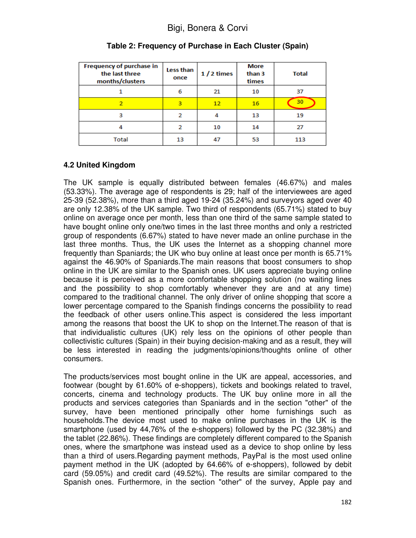| Frequency of purchase in<br>the last three<br>months/clusters | Less than<br>once | $1/2$ times | <b>More</b><br>than 3<br>times | <b>Total</b> |
|---------------------------------------------------------------|-------------------|-------------|--------------------------------|--------------|
|                                                               | 6                 | 21          | 10                             | 37           |
| 2                                                             | 3                 | 12          | 16                             | 30           |
| з                                                             | 2                 | 4           | 13                             | 19           |
| 4                                                             | 2                 | 10          | 14                             | 27           |
| Total                                                         | 13                | 47          | 53                             | 113          |

## **Table 2: Frequency of Purchase in Each Cluster (Spain)**

### **4.2 United Kingdom**

The UK sample is equally distributed between females (46.67%) and males (53.33%). The average age of respondents is 29; half of the interviewees are aged 25-39 (52.38%), more than a third aged 19-24 (35.24%) and surveyors aged over 40 are only 12.38% of the UK sample. Two third of respondents (65.71%) stated to buy online on average once per month, less than one third of the same sample stated to have bought online only one/two times in the last three months and only a restricted group of respondents (6.67%) stated to have never made an online purchase in the last three months. Thus, the UK uses the Internet as a shopping channel more frequently than Spaniards; the UK who buy online at least once per month is 65.71% against the 46.90% of Spaniards.The main reasons that boost consumers to shop online in the UK are similar to the Spanish ones. UK users appreciate buying online because it is perceived as a more comfortable shopping solution (no waiting lines and the possibility to shop comfortably whenever they are and at any time) compared to the traditional channel. The only driver of online shopping that score a lower percentage compared to the Spanish findings concerns the possibility to read the feedback of other users online.This aspect is considered the less important among the reasons that boost the UK to shop on the Internet.The reason of that is that individualistic cultures (UK) rely less on the opinions of other people than collectivistic cultures (Spain) in their buying decision-making and as a result, they will be less interested in reading the judgments/opinions/thoughts online of other consumers.

The products/services most bought online in the UK are appeal, accessories, and footwear (bought by 61.60% of e-shoppers), tickets and bookings related to travel, concerts, cinema and technology products. The UK buy online more in all the products and services categories than Spaniards and in the section "other" of the survey, have been mentioned principally other home furnishings such as households.The device most used to make online purchases in the UK is the smartphone (used by 44,76% of the e-shoppers) followed by the PC (32.38%) and the tablet (22.86%). These findings are completely different compared to the Spanish ones, where the smartphone was instead used as a device to shop online by less than a third of users.Regarding payment methods, PayPal is the most used online payment method in the UK (adopted by 64.66% of e-shoppers), followed by debit card (59.05%) and credit card (49.52%). The results are similar compared to the Spanish ones. Furthermore, in the section "other" of the survey, Apple pay and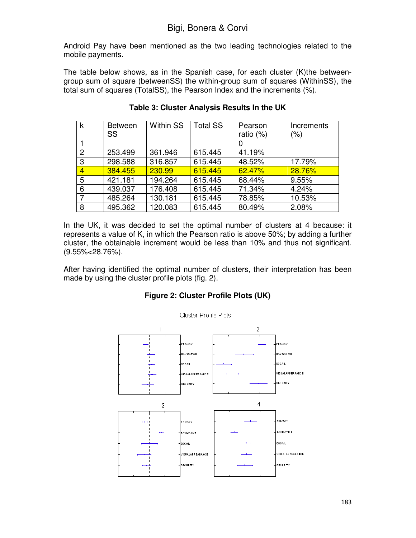Android Pay have been mentioned as the two leading technologies related to the mobile payments.

The table below shows, as in the Spanish case, for each cluster (K)the betweengroup sum of square (betweenSS) the within-group sum of squares (WithinSS), the total sum of squares (TotalSS), the Pearson Index and the increments (%).

| k              | <b>Between</b> | <b>Within SS</b> | <b>Total SS</b> | Pearson   | Increments |
|----------------|----------------|------------------|-----------------|-----------|------------|
|                | SS             |                  |                 | ratio (%) | (%)        |
|                |                |                  |                 |           |            |
| $\overline{2}$ | 253.499        | 361.946          | 615.445         | 41.19%    |            |
| 3              | 298.588        | 316.857          | 615.445         | 48.52%    | 17.79%     |
| $\overline{4}$ | 384.455        | 230.99           | 615.445         | 62.47%    | 28.76%     |
| 5              | 421.181        | 194.264          | 615.445         | 68.44%    | 9.55%      |
| 6              | 439.037        | 176.408          | 615.445         | 71.34%    | 4.24%      |
|                | 485.264        | 130.181          | 615.445         | 78.85%    | 10.53%     |
| 8              | 495.362        | 120.083          | 615.445         | 80.49%    | 2.08%      |

**Table 3: Cluster Analysis Results In the UK** 

In the UK, it was decided to set the optimal number of clusters at 4 because: it represents a value of K, in which the Pearson ratio is above 50%; by adding a further cluster, the obtainable increment would be less than 10% and thus not significant. (9.55%<28.76%).

After having identified the optimal number of clusters, their interpretation has been made by using the cluster profile plots (fig. 2).

#### **Figure 2: Cluster Profile Plots (UK)**

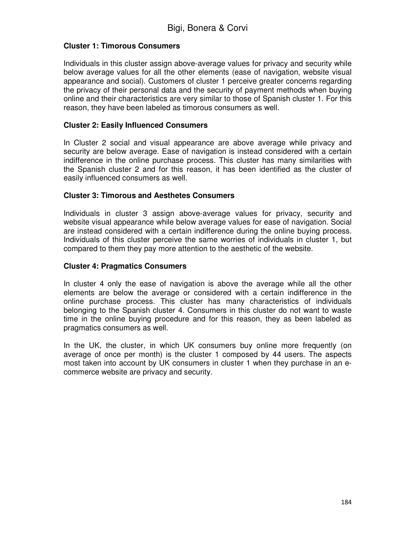#### **Cluster 1: Timorous Consumers**

Individuals in this cluster assign above-average values for privacy and security while below average values for all the other elements (ease of navigation, website visual appearance and social). Customers of cluster 1 perceive greater concerns regarding the privacy of their personal data and the security of payment methods when buying online and their characteristics are very similar to those of Spanish cluster 1. For this reason, they have been labeled as timorous consumers as well.

#### **Cluster 2: Easily Influenced Consumers**

In Cluster 2 social and visual appearance are above average while privacy and security are below average. Ease of navigation is instead considered with a certain indifference in the online purchase process. This cluster has many similarities with the Spanish cluster 2 and for this reason, it has been identified as the cluster of easily influenced consumers as well.

#### **Cluster 3: Timorous and Aesthetes Consumers**

Individuals in cluster 3 assign above-average values for privacy, security and website visual appearance while below average values for ease of navigation. Social are instead considered with a certain indifference during the online buying process. Individuals of this cluster perceive the same worries of individuals in cluster 1, but compared to them they pay more attention to the aesthetic of the website.

#### **Cluster 4: Pragmatics Consumers**

In cluster 4 only the ease of navigation is above the average while all the other elements are below the average or considered with a certain indifference in the online purchase process. This cluster has many characteristics of individuals belonging to the Spanish cluster 4. Consumers in this cluster do not want to waste time in the online buying procedure and for this reason, they as been labeled as pragmatics consumers as well.

In the UK, the cluster, in which UK consumers buy online more frequently (on average of once per month) is the cluster 1 composed by 44 users. The aspects most taken into account by UK consumers in cluster 1 when they purchase in an ecommerce website are privacy and security.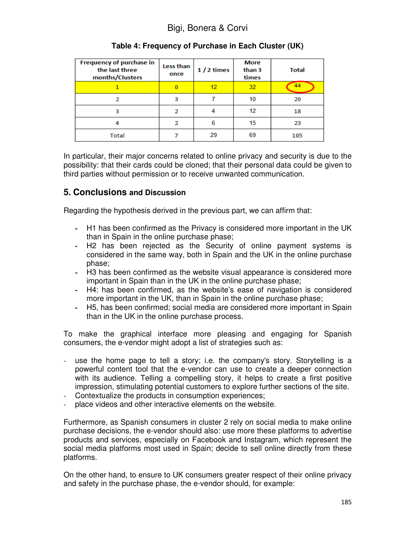| <b>Frequency of purchase in</b><br>the last three<br>months/Clusters | Less than<br>once | $1/2$ times | <b>More</b><br>than 3<br>times | <b>Total</b> |
|----------------------------------------------------------------------|-------------------|-------------|--------------------------------|--------------|
|                                                                      | $\bf{0}$          | 12          | 32                             | 44           |
| 2                                                                    | з                 |             | 10                             | 20           |
| з                                                                    | 2                 |             | 12                             | 18           |
|                                                                      | 2                 |             | 15                             | 23           |
| Total                                                                |                   | 29          | 69                             | 105          |

### **Table 4: Frequency of Purchase in Each Cluster (UK)**

In particular, their major concerns related to online privacy and security is due to the possibility: that their cards could be cloned; that their personal data could be given to third parties without permission or to receive unwanted communication.

### **5. Conclusions and Discussion**

Regarding the hypothesis derived in the previous part, we can affirm that:

- **-** H1 has been confirmed as the Privacy is considered more important in the UK than in Spain in the online purchase phase;
- **-** H2 has been rejected as the Security of online payment systems is considered in the same way, both in Spain and the UK in the online purchase phase;
- **-** H3 has been confirmed as the website visual appearance is considered more important in Spain than in the UK in the online purchase phase;
- **-** H4: has been confirmed, as the website's ease of navigation is considered more important in the UK, than in Spain in the online purchase phase;
- **-** H5, has been confirmed; social media are considered more important in Spain than in the UK in the online purchase process.

To make the graphical interface more pleasing and engaging for Spanish consumers, the e-vendor might adopt a list of strategies such as:

- use the home page to tell a story; i.e. the company's story. Storytelling is a powerful content tool that the e-vendor can use to create a deeper connection with its audience. Telling a compelling story, it helps to create a first positive impression, stimulating potential customers to explore further sections of the site.
- Contextualize the products in consumption experiences;
- place videos and other interactive elements on the website.

Furthermore, as Spanish consumers in cluster 2 rely on social media to make online purchase decisions, the e-vendor should also: use more these platforms to advertise products and services, especially on Facebook and Instagram, which represent the social media platforms most used in Spain; decide to sell online directly from these platforms.

On the other hand, to ensure to UK consumers greater respect of their online privacy and safety in the purchase phase, the e-vendor should, for example: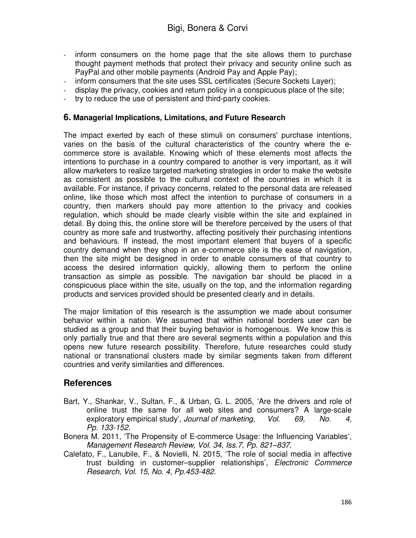- inform consumers on the home page that the site allows them to purchase thought payment methods that protect their privacy and security online such as PayPal and other mobile payments (Android Pay and Apple Pay);
- inform consumers that the site uses SSL certificates (Secure Sockets Layer);
- display the privacy, cookies and return policy in a conspicuous place of the site;
- try to reduce the use of persistent and third-party cookies.

#### **6. Managerial Implications, Limitations, and Future Research**

The impact exerted by each of these stimuli on consumers' purchase intentions, varies on the basis of the cultural characteristics of the country where the ecommerce store is available. Knowing which of these elements most affects the intentions to purchase in a country compared to another is very important, as it will allow marketers to realize targeted marketing strategies in order to make the website as consistent as possible to the cultural context of the countries in which it is available. For instance, if privacy concerns, related to the personal data are released online, like those which most affect the intention to purchase of consumers in a country, then markers should pay more attention to the privacy and cookies regulation, which should be made clearly visible within the site and explained in detail. By doing this, the online store will be therefore perceived by the users of that country as more safe and trustworthy, affecting positively their purchasing intentions and behaviours. If instead, the most important element that buyers of a specific country demand when they shop in an e-commerce site is the ease of navigation, then the site might be designed in order to enable consumers of that country to access the desired information quickly, allowing them to perform the online transaction as simple as possible. The navigation bar should be placed in a conspicuous place within the site, usually on the top, and the information regarding products and services provided should be presented clearly and in details.

The major limitation of this research is the assumption we made about consumer behavior within a nation. We assumed that within national borders user can be studied as a group and that their buying behavior is homogenous. We know this is only partially true and that there are several segments within a population and this opens new future research possibility. Therefore, future researches could study national or transnational clusters made by similar segments taken from different countries and verify similarities and differences.

## **References**

- Bart, Y., Shankar, V., Sultan, F., & Urban, G. L. 2005, 'Are the drivers and role of online trust the same for all web sites and consumers? A large-scale exploratory empirical study', *Journal of marketing, Vol. 69, No. 4, Pp. 133-152.*
- Bonera M. 2011, 'The Propensity of E-commerce Usage: the Influencing Variables', *Management Research Review, Vol. 34, Iss.7, Pp. 821–837*.
- Calefato, F., Lanubile, F., & Novielli, N. 2015, 'The role of social media in affective trust building in customer–supplier relationships', *Electronic Commerce Research, Vol. 15, No. 4, Pp.453-482.*